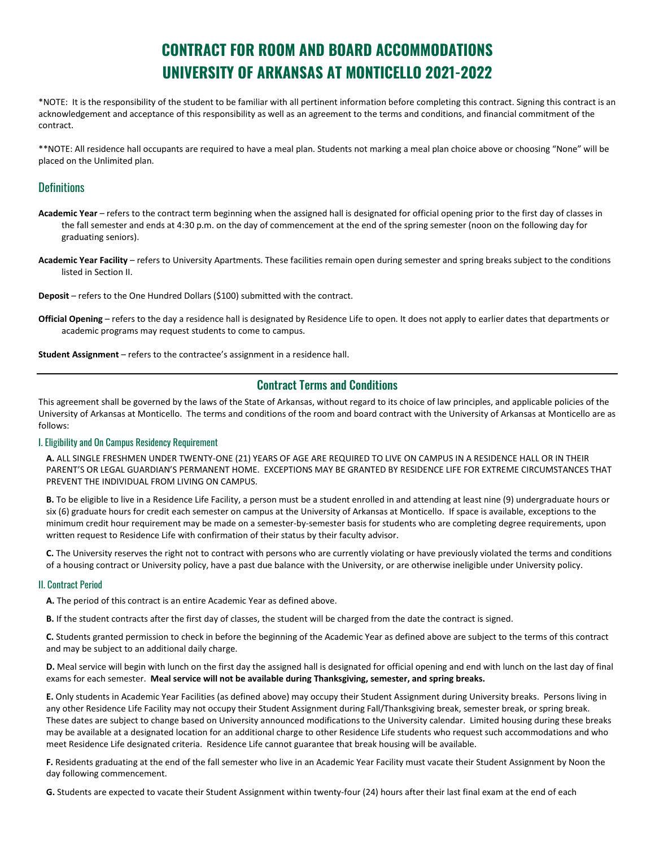# **CONTRACT FOR ROOM AND BOARD ACCOMMODATIONS UNIVERSITY OF ARKANSAS AT MONTICELLO 2021-2022**

\*NOTE: It is the responsibility of the student to be familiar with all pertinent information before completing this contract. Signing this contract is an acknowledgement and acceptance of this responsibility as well as an agreement to the terms and conditions, and financial commitment of the contract.

\*\*NOTE: All residence hall occupants are required to have a meal plan. Students not marking a meal plan choice above or choosing "None" will be placed on the Unlimited plan.

# **Definitions**

- **Academic Year** refers to the contract term beginning when the assigned hall is designated for official opening prior to the first day of classes in the fall semester and ends at 4:30 p.m. on the day of commencement at the end of the spring semester (noon on the following day for graduating seniors).
- **Academic Year Facility** refers to University Apartments. These facilities remain open during semester and spring breaks subject to the conditions listed in Section II.

**Deposit** – refers to the One Hundred Dollars (\$100) submitted with the contract.

**Official Opening** – refers to the day a residence hall is designated by Residence Life to open. It does not apply to earlier dates that departments or academic programs may request students to come to campus.

**Student Assignment** – refers to the contractee's assignment in a residence hall.

# Contract Terms and Conditions

This agreement shall be governed by the laws of the State of Arkansas, without regard to its choice of law principles, and applicable policies of the University of Arkansas at Monticello. The terms and conditions of the room and board contract with the University of Arkansas at Monticello are as follows:

# I. Eligibility and On Campus Residency Requirement

**A.** ALL SINGLE FRESHMEN UNDER TWENTY-ONE (21) YEARS OF AGE ARE REQUIRED TO LIVE ON CAMPUS IN A RESIDENCE HALL OR IN THEIR PARENT'S OR LEGAL GUARDIAN'S PERMANENT HOME. EXCEPTIONS MAY BE GRANTED BY RESIDENCE LIFE FOR EXTREME CIRCUMSTANCES THAT PREVENT THE INDIVIDUAL FROM LIVING ON CAMPUS.

**B.** To be eligible to live in a Residence Life Facility, a person must be a student enrolled in and attending at least nine (9) undergraduate hours or six (6) graduate hours for credit each semester on campus at the University of Arkansas at Monticello. If space is available, exceptions to the minimum credit hour requirement may be made on a semester-by-semester basis for students who are completing degree requirements, upon written request to Residence Life with confirmation of their status by their faculty advisor.

**C.** The University reserves the right not to contract with persons who are currently violating or have previously violated the terms and conditions of a housing contract or University policy, have a past due balance with the University, or are otherwise ineligible under University policy.

# II. Contract Period

**A.** The period of this contract is an entire Academic Year as defined above.

**B.** If the student contracts after the first day of classes, the student will be charged from the date the contract is signed.

**C.** Students granted permission to check in before the beginning of the Academic Year as defined above are subject to the terms of this contract and may be subject to an additional daily charge.

**D.** Meal service will begin with lunch on the first day the assigned hall is designated for official opening and end with lunch on the last day of final exams for each semester. **Meal service will not be available during Thanksgiving, semester, and spring breaks.**

**E.** Only students in Academic Year Facilities (as defined above) may occupy their Student Assignment during University breaks. Persons living in any other Residence Life Facility may not occupy their Student Assignment during Fall/Thanksgiving break, semester break, or spring break. These dates are subject to change based on University announced modifications to the University calendar. Limited housing during these breaks may be available at a designated location for an additional charge to other Residence Life students who request such accommodations and who meet Residence Life designated criteria. Residence Life cannot guarantee that break housing will be available.

**F.** Residents graduating at the end of the fall semester who live in an Academic Year Facility must vacate their Student Assignment by Noon the day following commencement.

**G.** Students are expected to vacate their Student Assignment within twenty-four (24) hours after their last final exam at the end of each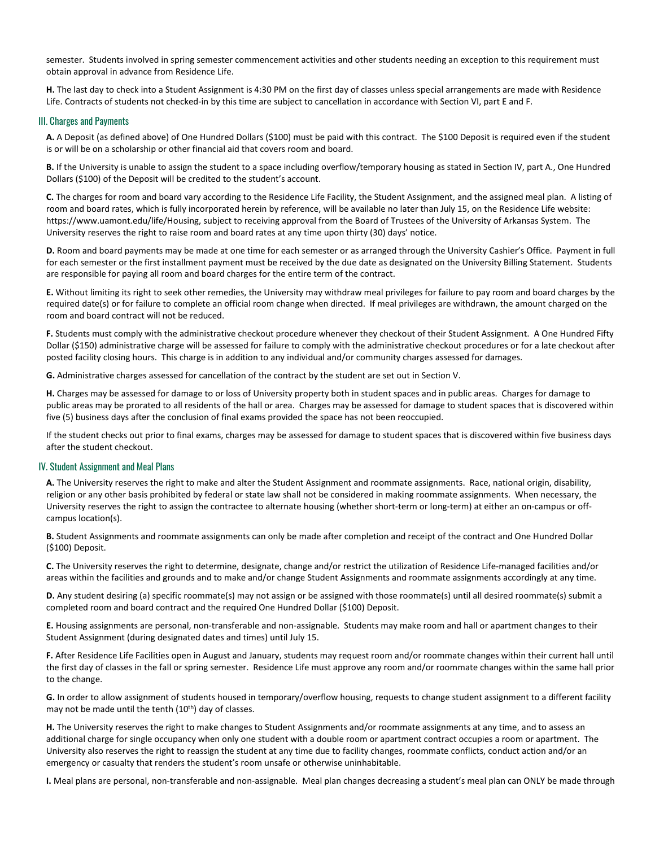semester. Students involved in spring semester commencement activities and other students needing an exception to this requirement must obtain approval in advance from Residence Life.

**H.** The last day to check into a Student Assignment is 4:30 PM on the first day of classes unless special arrangements are made with Residence Life. Contracts of students not checked-in by this time are subject to cancellation in accordance with Section VI, part E and F.

#### III. Charges and Payments

**A.** A Deposit (as defined above) of One Hundred Dollars (\$100) must be paid with this contract. The \$100 Deposit is required even if the student is or will be on a scholarship or other financial aid that covers room and board.

**B.** If the University is unable to assign the student to a space including overflow/temporary housing as stated in Section IV, part A., One Hundred Dollars (\$100) of the Deposit will be credited to the student's account.

**C.** The charges for room and board vary according to the Residence Life Facility, the Student Assignment, and the assigned meal plan. A listing of room and board rates, which is fully incorporated herein by reference, will be available no later than July 15, on the Residence Life website: https://www.uamont.edu/life/Housing, subject to receiving approval from the Board of Trustees of the University of Arkansas System. The University reserves the right to raise room and board rates at any time upon thirty (30) days' notice.

**D.** Room and board payments may be made at one time for each semester or as arranged through the University Cashier's Office. Payment in full for each semester or the first installment payment must be received by the due date as designated on the University Billing Statement. Students are responsible for paying all room and board charges for the entire term of the contract.

**E.** Without limiting its right to seek other remedies, the University may withdraw meal privileges for failure to pay room and board charges by the required date(s) or for failure to complete an official room change when directed. If meal privileges are withdrawn, the amount charged on the room and board contract will not be reduced.

**F.** Students must comply with the administrative checkout procedure whenever they checkout of their Student Assignment. A One Hundred Fifty Dollar (\$150) administrative charge will be assessed for failure to comply with the administrative checkout procedures or for a late checkout after posted facility closing hours. This charge is in addition to any individual and/or community charges assessed for damages.

**G.** Administrative charges assessed for cancellation of the contract by the student are set out in Section V.

**H.** Charges may be assessed for damage to or loss of University property both in student spaces and in public areas. Charges for damage to public areas may be prorated to all residents of the hall or area. Charges may be assessed for damage to student spaces that is discovered within five (5) business days after the conclusion of final exams provided the space has not been reoccupied.

If the student checks out prior to final exams, charges may be assessed for damage to student spaces that is discovered within five business days after the student checkout.

# IV. Student Assignment and Meal Plans

**A.** The University reserves the right to make and alter the Student Assignment and roommate assignments. Race, national origin, disability, religion or any other basis prohibited by federal or state law shall not be considered in making roommate assignments. When necessary, the University reserves the right to assign the contractee to alternate housing (whether short-term or long-term) at either an on-campus or offcampus location(s).

**B.** Student Assignments and roommate assignments can only be made after completion and receipt of the contract and One Hundred Dollar (\$100) Deposit.

**C.** The University reserves the right to determine, designate, change and/or restrict the utilization of Residence Life-managed facilities and/or areas within the facilities and grounds and to make and/or change Student Assignments and roommate assignments accordingly at any time.

**D.** Any student desiring (a) specific roommate(s) may not assign or be assigned with those roommate(s) until all desired roommate(s) submit a completed room and board contract and the required One Hundred Dollar (\$100) Deposit.

**E.** Housing assignments are personal, non-transferable and non-assignable. Students may make room and hall or apartment changes to their Student Assignment (during designated dates and times) until July 15.

**F.** After Residence Life Facilities open in August and January, students may request room and/or roommate changes within their current hall until the first day of classes in the fall or spring semester. Residence Life must approve any room and/or roommate changes within the same hall prior to the change.

**G.** In order to allow assignment of students housed in temporary/overflow housing, requests to change student assignment to a different facility may not be made until the tenth (10<sup>th</sup>) day of classes.

**H.** The University reserves the right to make changes to Student Assignments and/or roommate assignments at any time, and to assess an additional charge for single occupancy when only one student with a double room or apartment contract occupies a room or apartment. The University also reserves the right to reassign the student at any time due to facility changes, roommate conflicts, conduct action and/or an emergency or casualty that renders the student's room unsafe or otherwise uninhabitable.

**I.** Meal plans are personal, non-transferable and non-assignable. Meal plan changes decreasing a student's meal plan can ONLY be made through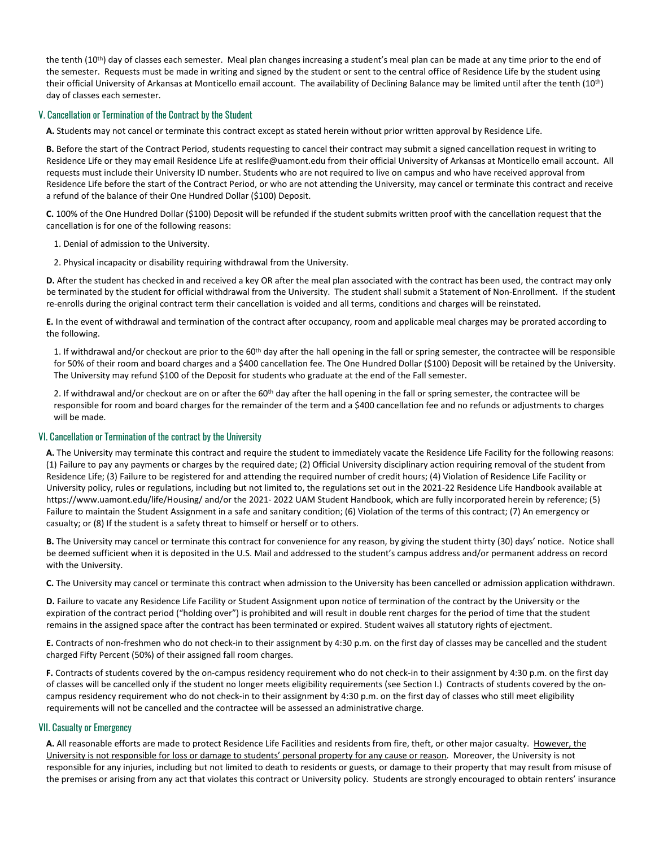the tenth (10<sup>th</sup>) day of classes each semester. Meal plan changes increasing a student's meal plan can be made at any time prior to the end of the semester. Requests must be made in writing and signed by the student or sent to the central office of Residence Life by the student using their official University of Arkansas at Monticello email account. The availability of Declining Balance may be limited until after the tenth (10<sup>th</sup>) day of classes each semester.

## V. Cancellation or Termination of the Contract by the Student

**A.** Students may not cancel or terminate this contract except as stated herein without prior written approval by Residence Life.

**B.** Before the start of the Contract Period, students requesting to cancel their contract may submit a signed cancellation request in writing to Residence Life or they may email Residence Life at reslife@uamont.edu from their official University of Arkansas at Monticello email account. All requests must include their University ID number. Students who are not required to live on campus and who have received approval from Residence Life before the start of the Contract Period, or who are not attending the University, may cancel or terminate this contract and receive a refund of the balance of their One Hundred Dollar (\$100) Deposit.

**C.** 100% of the One Hundred Dollar (\$100) Deposit will be refunded if the student submits written proof with the cancellation request that the cancellation is for one of the following reasons:

- 1. Denial of admission to the University.
- 2. Physical incapacity or disability requiring withdrawal from the University.

**D.** After the student has checked in and received a key OR after the meal plan associated with the contract has been used, the contract may only be terminated by the student for official withdrawal from the University. The student shall submit a Statement of Non-Enrollment. If the student re-enrolls during the original contract term their cancellation is voided and all terms, conditions and charges will be reinstated.

**E.** In the event of withdrawal and termination of the contract after occupancy, room and applicable meal charges may be prorated according to the following.

1. If withdrawal and/or checkout are prior to the 60<sup>th</sup> day after the hall opening in the fall or spring semester, the contractee will be responsible for 50% of their room and board charges and a \$400 cancellation fee. The One Hundred Dollar (\$100) Deposit will be retained by the University. The University may refund \$100 of the Deposit for students who graduate at the end of the Fall semester.

2. If withdrawal and/or checkout are on or after the 60<sup>th</sup> day after the hall opening in the fall or spring semester, the contractee will be responsible for room and board charges for the remainder of the term and a \$400 cancellation fee and no refunds or adjustments to charges will be made.

#### VI. Cancellation or Termination of the contract by the University

**A.** The University may terminate this contract and require the student to immediately vacate the Residence Life Facility for the following reasons: (1) Failure to pay any payments or charges by the required date; (2) Official University disciplinary action requiring removal of the student from Residence Life; (3) Failure to be registered for and attending the required number of credit hours; (4) Violation of Residence Life Facility or University policy, rules or regulations, including but not limited to, the regulations set out in the 2021-22 Residence Life Handbook available at https://www.uamont.edu/life/Housing/ and/or the 2021- 2022 UAM Student Handbook, which are fully incorporated herein by reference; (5) Failure to maintain the Student Assignment in a safe and sanitary condition; (6) Violation of the terms of this contract; (7) An emergency or casualty; or (8) If the student is a safety threat to himself or herself or to others.

**B.** The University may cancel or terminate this contract for convenience for any reason, by giving the student thirty (30) days' notice. Notice shall be deemed sufficient when it is deposited in the U.S. Mail and addressed to the student's campus address and/or permanent address on record with the University.

**C.** The University may cancel or terminate this contract when admission to the University has been cancelled or admission application withdrawn.

**D.** Failure to vacate any Residence Life Facility or Student Assignment upon notice of termination of the contract by the University or the expiration of the contract period ("holding over") is prohibited and will result in double rent charges for the period of time that the student remains in the assigned space after the contract has been terminated or expired. Student waives all statutory rights of ejectment.

**E.** Contracts of non-freshmen who do not check-in to their assignment by 4:30 p.m. on the first day of classes may be cancelled and the student charged Fifty Percent (50%) of their assigned fall room charges.

**F.** Contracts of students covered by the on-campus residency requirement who do not check-in to their assignment by 4:30 p.m. on the first day of classes will be cancelled only if the student no longer meets eligibility requirements (see Section I.) Contracts of students covered by the oncampus residency requirement who do not check-in to their assignment by 4:30 p.m. on the first day of classes who still meet eligibility requirements will not be cancelled and the contractee will be assessed an administrative charge.

#### VII. Casualty or Emergency

A. All reasonable efforts are made to protect Residence Life Facilities and residents from fire, theft, or other major casualty. However, the University is not responsible for loss or damage to students' personal property for any cause or reason. Moreover, the University is not responsible for any injuries, including but not limited to death to residents or guests, or damage to their property that may result from misuse of the premises or arising from any act that violates this contract or University policy. Students are strongly encouraged to obtain renters' insurance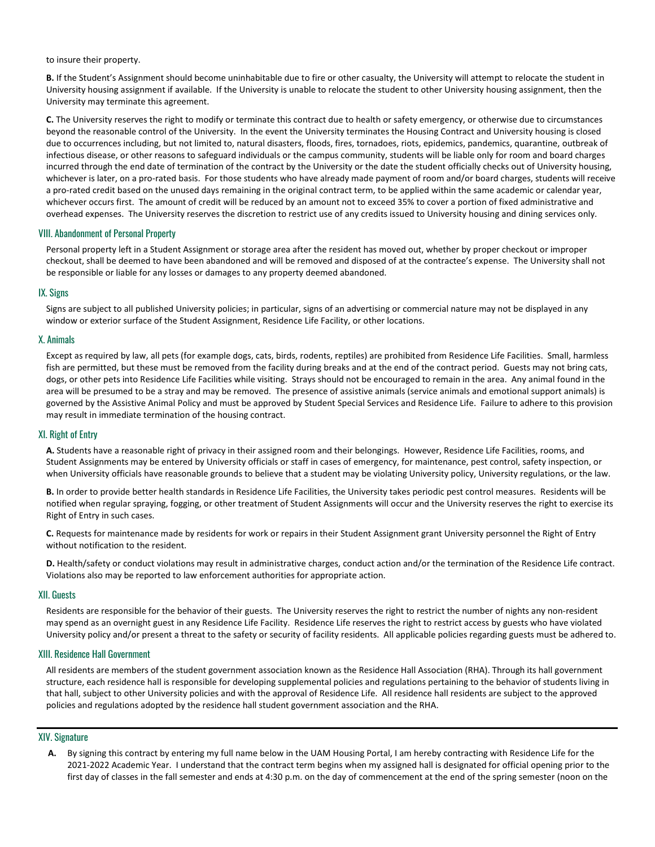to insure their property.

**B.** If the Student's Assignment should become uninhabitable due to fire or other casualty, the University will attempt to relocate the student in University housing assignment if available. If the University is unable to relocate the student to other University housing assignment, then the University may terminate this agreement.

**C.** The University reserves the right to modify or terminate this contract due to health or safety emergency, or otherwise due to circumstances beyond the reasonable control of the University. In the event the University terminates the Housing Contract and University housing is closed due to occurrences including, but not limited to, natural disasters, floods, fires, tornadoes, riots, epidemics, pandemics, quarantine, outbreak of infectious disease, or other reasons to safeguard individuals or the campus community, students will be liable only for room and board charges incurred through the end date of termination of the contract by the University or the date the student officially checks out of University housing, whichever is later, on a pro-rated basis. For those students who have already made payment of room and/or board charges, students will receive a pro-rated credit based on the unused days remaining in the original contract term, to be applied within the same academic or calendar year, whichever occurs first. The amount of credit will be reduced by an amount not to exceed 35% to cover a portion of fixed administrative and overhead expenses. The University reserves the discretion to restrict use of any credits issued to University housing and dining services only.

#### VIII. Abandonment of Personal Property

Personal property left in a Student Assignment or storage area after the resident has moved out, whether by proper checkout or improper checkout, shall be deemed to have been abandoned and will be removed and disposed of at the contractee's expense. The University shall not be responsible or liable for any losses or damages to any property deemed abandoned.

## IX. Signs

Signs are subject to all published University policies; in particular, signs of an advertising or commercial nature may not be displayed in any window or exterior surface of the Student Assignment, Residence Life Facility, or other locations.

## X. Animals

Except as required by law, all pets (for example dogs, cats, birds, rodents, reptiles) are prohibited from Residence Life Facilities. Small, harmless fish are permitted, but these must be removed from the facility during breaks and at the end of the contract period. Guests may not bring cats, dogs, or other pets into Residence Life Facilities while visiting. Strays should not be encouraged to remain in the area. Any animal found in the area will be presumed to be a stray and may be removed. The presence of assistive animals (service animals and emotional support animals) is governed by the Assistive Animal Policy and must be approved by Student Special Services and Residence Life. Failure to adhere to this provision may result in immediate termination of the housing contract.

#### XI. Right of Entry

**A.** Students have a reasonable right of privacy in their assigned room and their belongings. However, Residence Life Facilities, rooms, and Student Assignments may be entered by University officials or staff in cases of emergency, for maintenance, pest control, safety inspection, or when University officials have reasonable grounds to believe that a student may be violating University policy, University regulations, or the law.

**B.** In order to provide better health standards in Residence Life Facilities, the University takes periodic pest control measures. Residents will be notified when regular spraying, fogging, or other treatment of Student Assignments will occur and the University reserves the right to exercise its Right of Entry in such cases.

**C.** Requests for maintenance made by residents for work or repairs in their Student Assignment grant University personnel the Right of Entry without notification to the resident.

**D.** Health/safety or conduct violations may result in administrative charges, conduct action and/or the termination of the Residence Life contract. Violations also may be reported to law enforcement authorities for appropriate action.

#### XII. Guests

Residents are responsible for the behavior of their guests. The University reserves the right to restrict the number of nights any non-resident may spend as an overnight guest in any Residence Life Facility. Residence Life reserves the right to restrict access by guests who have violated University policy and/or present a threat to the safety or security of facility residents. All applicable policies regarding guests must be adhered to.

# XIII. Residence Hall Government

All residents are members of the student government association known as the Residence Hall Association (RHA). Through its hall government structure, each residence hall is responsible for developing supplemental policies and regulations pertaining to the behavior of students living in that hall, subject to other University policies and with the approval of Residence Life. All residence hall residents are subject to the approved policies and regulations adopted by the residence hall student government association and the RHA.

#### XIV. Signature

**A.** By signing this contract by entering my full name below in the UAM Housing Portal, I am hereby contracting with Residence Life for the 2021-2022 Academic Year. I understand that the contract term begins when my assigned hall is designated for official opening prior to the first day of classes in the fall semester and ends at 4:30 p.m. on the day of commencement at the end of the spring semester (noon on the